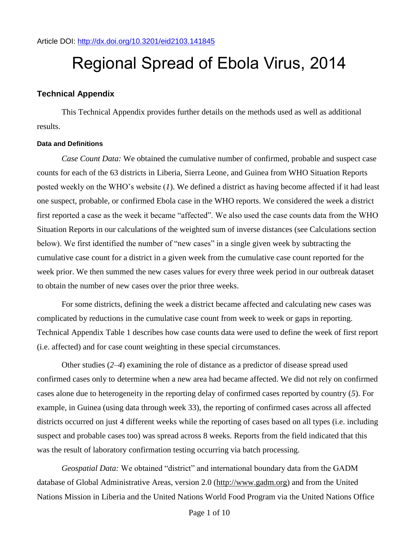Article DOI:<http://dx.doi.org/10.3201/eid2103.141845>

# Regional Spread of Ebola Virus, 2014

# **Technical Appendix**

This Technical Appendix provides further details on the methods used as well as additional results.

#### **Data and Definitions**

*Case Count Data:* We obtained the cumulative number of confirmed, probable and suspect case counts for each of the 63 districts in Liberia, Sierra Leone, and Guinea from WHO Situation Reports posted weekly on the WHO's website (*1*). We defined a district as having become affected if it had least one suspect, probable, or confirmed Ebola case in the WHO reports. We considered the week a district first reported a case as the week it became "affected". We also used the case counts data from the WHO Situation Reports in our calculations of the weighted sum of inverse distances (see Calculations section below). We first identified the number of "new cases" in a single given week by subtracting the cumulative case count for a district in a given week from the cumulative case count reported for the week prior. We then summed the new cases values for every three week period in our outbreak dataset to obtain the number of new cases over the prior three weeks.

For some districts, defining the week a district became affected and calculating new cases was complicated by reductions in the cumulative case count from week to week or gaps in reporting. Technical Appendix Table 1 describes how case counts data were used to define the week of first report (i.e. affected) and for case count weighting in these special circumstances.

Other studies (*2*–*4*) examining the role of distance as a predictor of disease spread used confirmed cases only to determine when a new area had became affected. We did not rely on confirmed cases alone due to heterogeneity in the reporting delay of confirmed cases reported by country (*5*). For example, in Guinea (using data through week 33), the reporting of confirmed cases across all affected districts occurred on just 4 different weeks while the reporting of cases based on all types (i.e. including suspect and probable cases too) was spread across 8 weeks. Reports from the field indicated that this was the result of laboratory confirmation testing occurring via batch processing.

*Geospatial Data:* We obtained "district" and international boundary data from the GADM database of Global Administrative Areas, version 2.0 (http://www.gadm.org) and from the United Nations Mission in Liberia and the United Nations World Food Program via the United Nations Office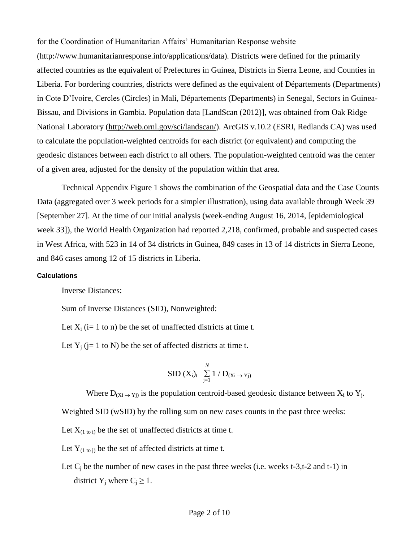for the Coordination of Humanitarian Affairs' Humanitarian Response website (http://www.humanitarianresponse.info/applications/data). Districts were defined for the primarily affected countries as the equivalent of Prefectures in Guinea, Districts in Sierra Leone, and Counties in Liberia. For bordering countries, districts were defined as the equivalent of Départements (Departments) in Cote D'Ivoire, Cercles (Circles) in Mali, Départements (Departments) in Senegal, Sectors in Guinea-Bissau, and Divisions in Gambia. Population data [LandScan (2012)], was obtained from Oak Ridge National Laboratory (http://web.ornl.gov/sci/landscan/). ArcGIS v.10.2 (ESRI, Redlands CA) was used to calculate the population-weighted centroids for each district (or equivalent) and computing the geodesic distances between each district to all others. The population-weighted centroid was the center of a given area, adjusted for the density of the population within that area.

Technical Appendix Figure 1 shows the combination of the Geospatial data and the Case Counts Data (aggregated over 3 week periods for a simpler illustration), using data available through Week 39 [September 27]. At the time of our initial analysis (week-ending August 16, 2014, [epidemiological week 33]), the World Health Organization had reported 2,218, confirmed, probable and suspected cases in West Africa, with 523 in 14 of 34 districts in Guinea, 849 cases in 13 of 14 districts in Sierra Leone, and 846 cases among 12 of 15 districts in Liberia.

#### **Calculations**

Inverse Distances:

Sum of Inverse Distances (SID), Nonweighted:

Let  $X_i$  (i= 1 to n) be the set of unaffected districts at time t.

Let  $Y_i$  (j= 1 to N) be the set of affected districts at time t.

$$
SID(X_i)_{t = \sum_{j=1}^{N} 1 / D_{(Xi \rightarrow Yj)}}
$$

Where  $D_{(Xi \rightarrow Yj)}$  is the population centroid-based geodesic distance between  $X_i$  to  $Y_j$ .

Weighted SID (wSID) by the rolling sum on new cases counts in the past three weeks:

Let  $X_{(1 \text{ to } i)}$  be the set of unaffected districts at time t.

Let  $Y_{(1 to i)}$  be the set of affected districts at time t.

Let  $C_i$  be the number of new cases in the past three weeks (i.e. weeks t-3,t-2 and t-1) in district Y<sub>i</sub> where  $C_i \geq 1$ .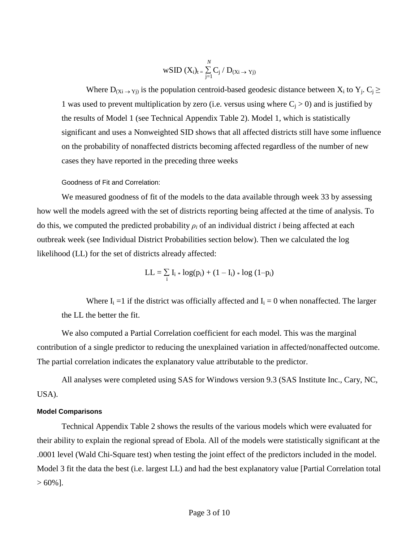$$
wSID\ (X_i)_{t} = \sum_{j=1}^{\mathit{N}} C_j \ / \ D_{(Xi \rightarrow \ Yj)}
$$

Where  $D_{(Xi \to Y_i)}$  is the population centroid-based geodesic distance between  $X_i$  to  $Y_j$ .  $C_j \geq$ 1 was used to prevent multiplication by zero (i.e. versus using where  $C_i > 0$ ) and is justified by the results of Model 1 (see Technical Appendix Table 2). Model 1, which is statistically significant and uses a Nonweighted SID shows that all affected districts still have some influence on the probability of nonaffected districts becoming affected regardless of the number of new cases they have reported in the preceding three weeks

Goodness of Fit and Correlation:

We measured goodness of fit of the models to the data available through week 33 by assessing how well the models agreed with the set of districts reporting being affected at the time of analysis. To do this, we computed the predicted probability  $\rho_i$  of an individual district *i* being affected at each outbreak week (see Individual District Probabilities section below). Then we calculated the log likelihood (LL) for the set of districts already affected:

$$
LL = \mathop{\textstyle \sum}_{i} I_i * log(p_i) + (1-I_i) * log(1-p_i)
$$

Where  $I_i = 1$  if the district was officially affected and  $I_i = 0$  when nonaffected. The larger the LL the better the fit.

We also computed a Partial Correlation coefficient for each model. This was the marginal contribution of a single predictor to reducing the unexplained variation in affected/nonaffected outcome. The partial correlation indicates the explanatory value attributable to the predictor.

All analyses were completed using SAS for Windows version 9.3 (SAS Institute Inc., Cary, NC, USA).

## **Model Comparisons**

Technical Appendix Table 2 shows the results of the various models which were evaluated for their ability to explain the regional spread of Ebola. All of the models were statistically significant at the .0001 level (Wald Chi-Square test) when testing the joint effect of the predictors included in the model. Model 3 fit the data the best (i.e. largest LL) and had the best explanatory value [Partial Correlation total  $> 60\%$ ].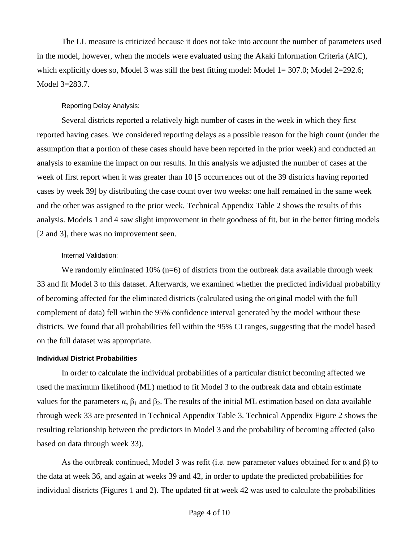The LL measure is criticized because it does not take into account the number of parameters used in the model, however, when the models were evaluated using the Akaki Information Criteria (AIC), which explicitly does so, Model 3 was still the best fitting model: Model 1= 307.0; Model 2=292.6; Model 3=283.7.

#### Reporting Delay Analysis:

Several districts reported a relatively high number of cases in the week in which they first reported having cases. We considered reporting delays as a possible reason for the high count (under the assumption that a portion of these cases should have been reported in the prior week) and conducted an analysis to examine the impact on our results. In this analysis we adjusted the number of cases at the week of first report when it was greater than 10 [5 occurrences out of the 39 districts having reported cases by week 39] by distributing the case count over two weeks: one half remained in the same week and the other was assigned to the prior week. Technical Appendix Table 2 shows the results of this analysis. Models 1 and 4 saw slight improvement in their goodness of fit, but in the better fitting models [2 and 3], there was no improvement seen.

#### Internal Validation:

We randomly eliminated  $10\%$  (n=6) of districts from the outbreak data available through week 33 and fit Model 3 to this dataset. Afterwards, we examined whether the predicted individual probability of becoming affected for the eliminated districts (calculated using the original model with the full complement of data) fell within the 95% confidence interval generated by the model without these districts. We found that all probabilities fell within the 95% CI ranges, suggesting that the model based on the full dataset was appropriate.

#### **Individual District Probabilities**

In order to calculate the individual probabilities of a particular district becoming affected we used the maximum likelihood (ML) method to fit Model 3 to the outbreak data and obtain estimate values for the parameters α,  $β_1$  and  $β_2$ . The results of the initial ML estimation based on data available through week 33 are presented in Technical Appendix Table 3. Technical Appendix Figure 2 shows the resulting relationship between the predictors in Model 3 and the probability of becoming affected (also based on data through week 33).

As the outbreak continued, Model 3 was refit (i.e. new parameter values obtained for  $\alpha$  and  $\beta$ ) to the data at week 36, and again at weeks 39 and 42, in order to update the predicted probabilities for individual districts (Figures 1 and 2). The updated fit at week 42 was used to calculate the probabilities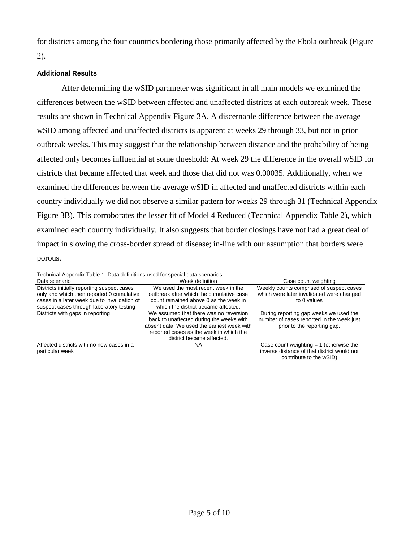for districts among the four countries bordering those primarily affected by the Ebola outbreak (Figure 2).

# **Additional Results**

After determining the wSID parameter was significant in all main models we examined the differences between the wSID between affected and unaffected districts at each outbreak week. These results are shown in Technical Appendix Figure 3A. A discernable difference between the average wSID among affected and unaffected districts is apparent at weeks 29 through 33, but not in prior outbreak weeks. This may suggest that the relationship between distance and the probability of being affected only becomes influential at some threshold: At week 29 the difference in the overall wSID for districts that became affected that week and those that did not was 0.00035. Additionally, when we examined the differences between the average wSID in affected and unaffected districts within each country individually we did not observe a similar pattern for weeks 29 through 31 (Technical Appendix Figure 3B). This corroborates the lesser fit of Model 4 Reduced (Technical Appendix Table 2), which examined each country individually. It also suggests that border closings have not had a great deal of impact in slowing the cross-border spread of disease; in-line with our assumption that borders were porous.

| Technical Appendix Table 1. Data definitions used for special data scenarios                                                                                                         |                                                                                                                                                                                                           |                                                                                                                     |  |  |  |  |  |
|--------------------------------------------------------------------------------------------------------------------------------------------------------------------------------------|-----------------------------------------------------------------------------------------------------------------------------------------------------------------------------------------------------------|---------------------------------------------------------------------------------------------------------------------|--|--|--|--|--|
| Data scenario                                                                                                                                                                        | Week definition                                                                                                                                                                                           | Case count weighting                                                                                                |  |  |  |  |  |
| Districts initially reporting suspect cases<br>only and which then reported 0 cumulative<br>cases in a later week due to invalidation of<br>suspect cases through laboratory testing | We used the most recent week in the<br>outbreak after which the cumulative case<br>count remained above 0 as the week in<br>which the district became affected.                                           | Weekly counts comprised of suspect cases<br>which were later invalidated were changed<br>to 0 values                |  |  |  |  |  |
| Districts with gaps in reporting                                                                                                                                                     | We assumed that there was no reversion<br>back to unaffected during the weeks with<br>absent data. We used the earliest week with<br>reported cases as the week in which the<br>district became affected. | During reporting gap weeks we used the<br>number of cases reported in the week just<br>prior to the reporting gap.  |  |  |  |  |  |
| Affected districts with no new cases in a<br>particular week                                                                                                                         | NA                                                                                                                                                                                                        | Case count weighting $= 1$ (otherwise the<br>inverse distance of that district would not<br>contribute to the wSID) |  |  |  |  |  |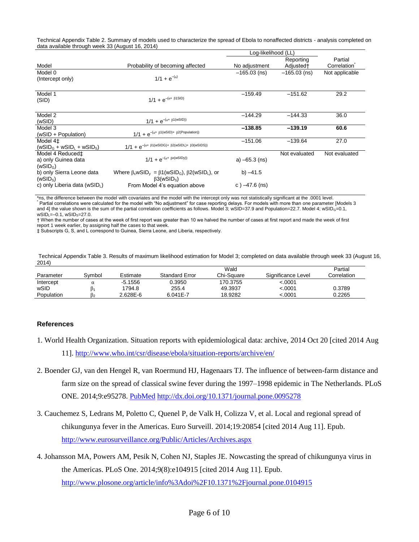Technical Appendix Table 2. Summary of models used to characterize the spread of Ebola to nonaffected districts - analysis completed on data available through week 33 (August 16, 2014)

|                                                   |                                                                                                    | Log-likelihood (LL) |                       |                |
|---------------------------------------------------|----------------------------------------------------------------------------------------------------|---------------------|-----------------------|----------------|
|                                                   |                                                                                                    |                     | Reporting             | Partial        |
| Model                                             | Probability of becoming affected                                                                   | No adjustment       | Adjusted <sup>+</sup> | Correlation    |
| Model 0                                           |                                                                                                    | $-165.03$ (ns)      | $-165.03$ (ns)        | Not applicable |
| (Intercept only)                                  | $1/1 + e^{-(\alpha)}$                                                                              |                     |                       |                |
| Model 1                                           |                                                                                                    | $-159.49$           | $-151.62$             | 29.2           |
| (SID)                                             | $1/1 + e^{-(\alpha + \beta 1 S 1 D)}$                                                              |                     |                       |                |
| Model 2                                           |                                                                                                    | $-144.29$           | $-144.33$             | 36.0           |
| (wSID)                                            | $1/1 + e^{-(\alpha + \beta 1(wSID))}$                                                              |                     |                       |                |
| Model 3                                           |                                                                                                    | $-138.85$           | $-139.19$             | 60.6           |
| (wSID + Population)                               | $1/1 + e^{-(\alpha + \beta 1(wSID) + \beta 2(Population))}$                                        |                     |                       |                |
| Model 4 <sup>±</sup>                              |                                                                                                    | $-151.06$           | $-139.64$             | 27.0           |
| $(wSIDG + wSID1 + wSIDS)$                         | $1/1 + e^{-(\alpha + \beta 1(wSIDG) + \beta 2(wSIDL) + \beta 3(wSIDS))}$                           |                     |                       |                |
| Model 4 Reduced‡                                  |                                                                                                    |                     | Not evaluated         | Not evaluated  |
| a) only Guinea data                               | $1/1 + e^{-(\alpha + \beta x(wSIDy))}$                                                             | a) $-65.3$ (ns)     |                       |                |
| (WSID <sub>G</sub> )                              |                                                                                                    |                     |                       |                |
| b) only Sierra Leone data<br>(WSID <sub>s</sub> ) | Where $\beta_x wSID_y = \beta 1(wSID_G)$ , $\beta 2(wSID_L)$ , or<br>$\beta$ 3(wSID <sub>s</sub> ) | b) $-41.5$          |                       |                |
| c) only Liberia data (wSID <sub>L</sub> )         | From Model 4's equation above                                                                      | c) $-47.6$ (ns)     |                       |                |

\*ns, the difference between the model with covariates and the model with the intercept only was not statistically significant at the .0001 level. Partial correlations were calculated for the model with "No adjustment" for case reporting delays. For models with more than one parameter [Models 3 and 4] the value shown is the sum of the partial correlation coefficients as follows. Model 3; wSID=37.9 and Population=22.7. Model 4; wSID<sub>G</sub>=0.1,  $wSID_L = -0.1$ ,  $wSID_S = 27.0$ .

† When the number of cases at the week of first report was greater than 10 we halved the number of cases at first report and made the week of first report 1 week earlier, by assigning half the cases to that week.

‡ Subscripts G, S, and L correspond to Guinea, Sierra Leone, and Liberia, respectively.

Technical Appendix Table 3. Results of maximum likelihood estimation for Model 3; completed on data available through week 33 (August 16, 2014)

|            |        |           |                | Wald       |                    | Partial     |
|------------|--------|-----------|----------------|------------|--------------------|-------------|
| Parameter  | Svmbol | Estimate  | Standard Error | Chi-Sauare | Significance Level | Correlation |
| Intercept  |        | $-5.1556$ | 0.3950         | 170.3755   | 0001.>             |             |
| wSID       |        | 1794.8    | 255.4          | 49.3937    | 0001.>             | 0.3789      |
| Population |        | 2.628E-6  | $6.041E - 7$   | 18.9282    | 0001.>             | 0.2265      |

## **References**

- 1. World Health Organization. Situation reports with epidemiological data: archive, 2014 Oct 20 [cited 2014 Aug 11].<http://www.who.int/csr/disease/ebola/situation-reports/archive/en/>
- 2. Boender GJ, van den Hengel R, van Roermund HJ, Hagenaars TJ. The influence of between-farm distance and farm size on the spread of classical swine fever during the 1997–1998 epidemic in The Netherlands. PLoS ONE. 2014;9:e95278. [PubMed](http://www.ncbi.nlm.nih.gov/entrez/query.fcgi?cmd=Retrieve&db=PubMed&list_uids=24748233&dopt=Abstract) <http://dx.doi.org/10.1371/journal.pone.0095278>
- 3. Cauchemez S, Ledrans M, Poletto C, Quenel P, de Valk H, Colizza V, et al. Local and regional spread of chikungunya fever in the Americas. Euro Surveill. 2014;19:20854 [cited 2014 Aug 11]. Epub. <http://www.eurosurveillance.org/Public/Articles/Archives.aspx>
- 4. Johansson MA, Powers AM, Pesik N, Cohen NJ, Staples JE. Nowcasting the spread of chikungunya virus in the Americas. PLoS One. 2014;9(8):e104915 [cited 2014 Aug 11]. Epub. <http://www.plosone.org/article/info%3Adoi%2F10.1371%2Fjournal.pone.0104915>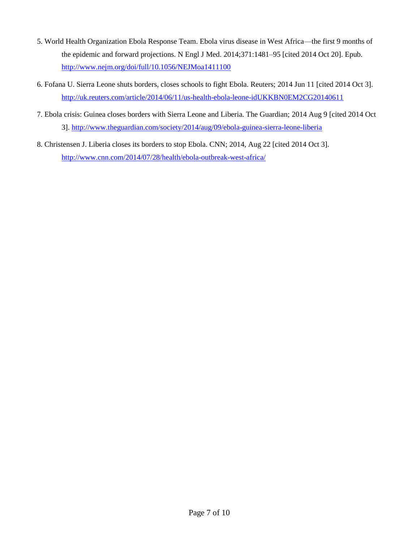- 5. World Health Organization Ebola Response Team. Ebola virus disease in West Africa—the first 9 months of the epidemic and forward projections. N Engl J Med. 2014;371:1481–95 [cited 2014 Oct 20]. Epub. <http://www.nejm.org/doi/full/10.1056/NEJMoa1411100>
- 6. Fofana U. Sierra Leone shuts borders, closes schools to fight Ebola. Reuters; 2014 Jun 11 [cited 2014 Oct 3]. <http://uk.reuters.com/article/2014/06/11/us-health-ebola-leone-idUKKBN0EM2CG20140611>
- 7. Ebola crisis: Guinea closes borders with Sierra Leone and Liberia. The Guardian; 2014 Aug 9 [cited 2014 Oct 3][. http://www.theguardian.com/society/2014/aug/09/ebola-guinea-sierra-leone-liberia](http://www.theguardian.com/society/2014/aug/09/ebola-guinea-sierra-leone-liberia)
- 8. Christensen J. Liberia closes its borders to stop Ebola. CNN; 2014, Aug 22 [cited 2014 Oct 3]. <http://www.cnn.com/2014/07/28/health/ebola-outbreak-west-africa/>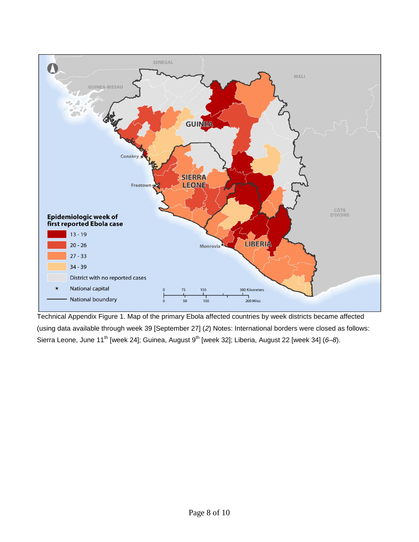

Technical Appendix Figure 1. Map of the primary Ebola affected countries by week districts became affected (using data available through week 39 [September 27] (*2*) Notes: International borders were closed as follows: Sierra Leone, June 11<sup>th</sup> [week 24]; Guinea, August 9<sup>th</sup> [week 32]; Liberia, August 22 [week 34] (6–8).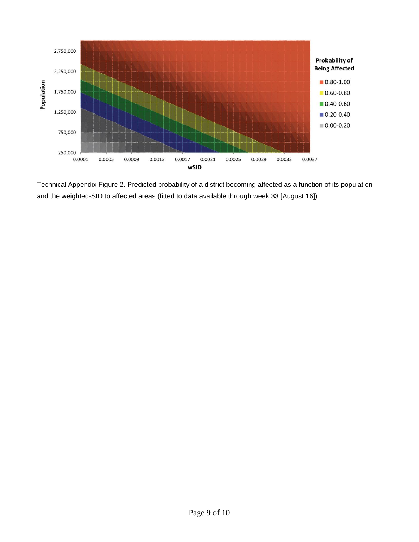

Technical Appendix Figure 2. Predicted probability of a district becoming affected as a function of its population and the weighted-SID to affected areas (fitted to data available through week 33 [August 16])